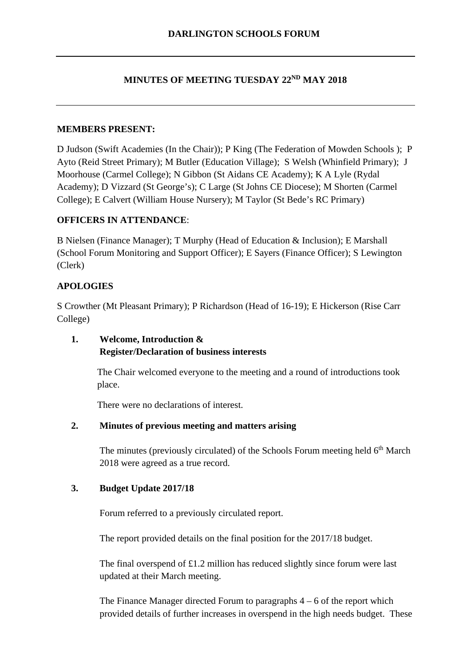# **MINUTES OF MEETING TUESDAY 22ND MAY 2018**

### **MEMBERS PRESENT:**

D Judson (Swift Academies (In the Chair)); P King (The Federation of Mowden Schools ); P Ayto (Reid Street Primary); M Butler (Education Village); S Welsh (Whinfield Primary); J Moorhouse (Carmel College); N Gibbon (St Aidans CE Academy); K A Lyle (Rydal Academy); D Vizzard (St George's); C Large (St Johns CE Diocese); M Shorten (Carmel College); E Calvert (William House Nursery); M Taylor (St Bede's RC Primary)

### **OFFICERS IN ATTENDANCE**:

B Nielsen (Finance Manager); T Murphy (Head of Education & Inclusion); E Marshall (School Forum Monitoring and Support Officer); E Sayers (Finance Officer); S Lewington (Clerk)

### **APOLOGIES**

S Crowther (Mt Pleasant Primary); P Richardson (Head of 16-19); E Hickerson (Rise Carr College)

## **1. Welcome, Introduction & Register/Declaration of business interests**

The Chair welcomed everyone to the meeting and a round of introductions took place.

There were no declarations of interest.

#### **2. Minutes of previous meeting and matters arising**

The minutes (previously circulated) of the Schools Forum meeting held  $6<sup>th</sup>$  March 2018 were agreed as a true record.

#### **3. Budget Update 2017/18**

Forum referred to a previously circulated report.

The report provided details on the final position for the 2017/18 budget.

The final overspend of £1.2 million has reduced slightly since forum were last updated at their March meeting.

The Finance Manager directed Forum to paragraphs  $4 - 6$  of the report which provided details of further increases in overspend in the high needs budget. These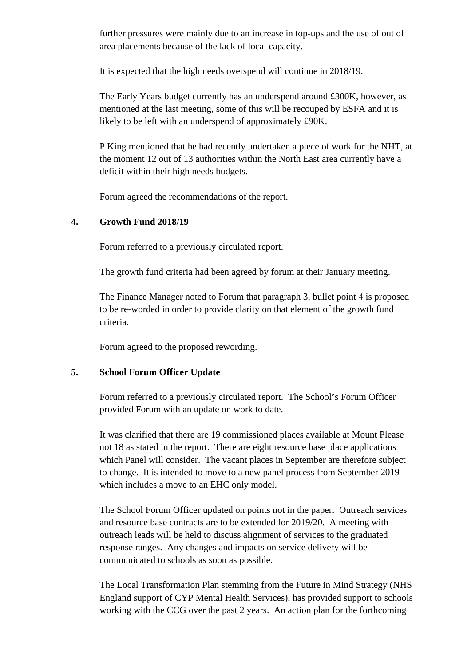further pressures were mainly due to an increase in top-ups and the use of out of area placements because of the lack of local capacity.

It is expected that the high needs overspend will continue in 2018/19.

The Early Years budget currently has an underspend around £300K, however, as mentioned at the last meeting, some of this will be recouped by ESFA and it is likely to be left with an underspend of approximately £90K.

P King mentioned that he had recently undertaken a piece of work for the NHT, at the moment 12 out of 13 authorities within the North East area currently have a deficit within their high needs budgets.

Forum agreed the recommendations of the report.

### **4. Growth Fund 2018/19**

Forum referred to a previously circulated report.

The growth fund criteria had been agreed by forum at their January meeting.

The Finance Manager noted to Forum that paragraph 3, bullet point 4 is proposed to be re-worded in order to provide clarity on that element of the growth fund criteria.

Forum agreed to the proposed rewording.

### **5. School Forum Officer Update**

Forum referred to a previously circulated report. The School's Forum Officer provided Forum with an update on work to date.

It was clarified that there are 19 commissioned places available at Mount Please not 18 as stated in the report. There are eight resource base place applications which Panel will consider. The vacant places in September are therefore subject to change. It is intended to move to a new panel process from September 2019 which includes a move to an EHC only model.

The School Forum Officer updated on points not in the paper. Outreach services and resource base contracts are to be extended for 2019/20. A meeting with outreach leads will be held to discuss alignment of services to the graduated response ranges. Any changes and impacts on service delivery will be communicated to schools as soon as possible.

The Local Transformation Plan stemming from the Future in Mind Strategy (NHS England support of CYP Mental Health Services), has provided support to schools working with the CCG over the past 2 years. An action plan for the forthcoming